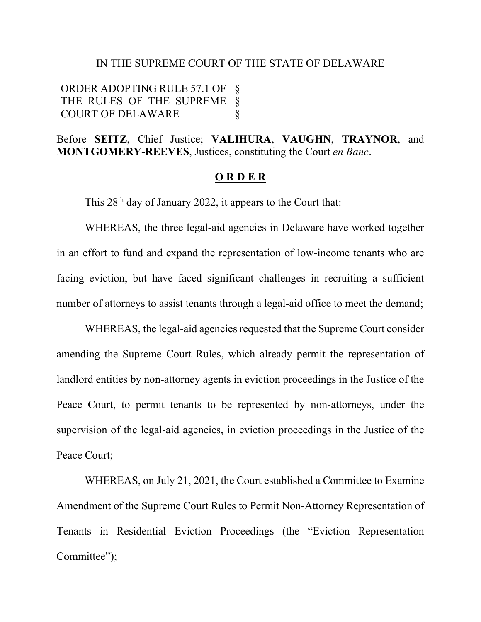#### IN THE SUPREME COURT OF THE STATE OF DELAWARE

ORDER ADOPTING RULE 57.1 OF § THE RULES OF THE SUPREME § COURT OF DELAWARE §

Before **SEITZ**, Chief Justice; **VALIHURA**, **VAUGHN**, **TRAYNOR**, and **MONTGOMERY-REEVES**, Justices, constituting the Court *en Banc*.

#### **O R D E R**

This 28<sup>th</sup> day of January 2022, it appears to the Court that:

WHEREAS, the three legal-aid agencies in Delaware have worked together in an effort to fund and expand the representation of low-income tenants who are facing eviction, but have faced significant challenges in recruiting a sufficient number of attorneys to assist tenants through a legal-aid office to meet the demand;

WHEREAS, the legal-aid agencies requested that the Supreme Court consider amending the Supreme Court Rules, which already permit the representation of landlord entities by non-attorney agents in eviction proceedings in the Justice of the Peace Court, to permit tenants to be represented by non-attorneys, under the supervision of the legal-aid agencies, in eviction proceedings in the Justice of the Peace Court;

WHEREAS, on July 21, 2021, the Court established a Committee to Examine Amendment of the Supreme Court Rules to Permit Non-Attorney Representation of Tenants in Residential Eviction Proceedings (the "Eviction Representation Committee");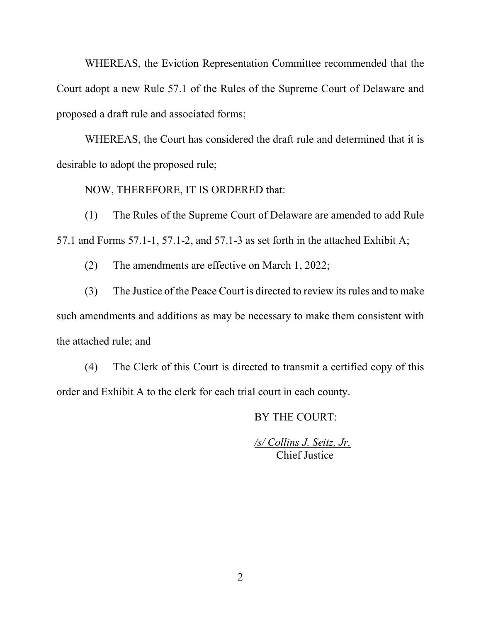WHEREAS, the Eviction Representation Committee recommended that the Court adopt a new Rule 57.1 of the Rules of the Supreme Court of Delaware and proposed a draft rule and associated forms;

WHEREAS, the Court has considered the draft rule and determined that it is desirable to adopt the proposed rule;

NOW, THEREFORE, IT IS ORDERED that:

(1) The Rules of the Supreme Court of Delaware are amended to add Rule 57.1 and Forms 57.1-1, 57.1-2, and 57.1-3 as set forth in the attached Exhibit A;

(2) The amendments are effective on March 1, 2022;

(3) The Justice of the Peace Court is directed to review its rules and to make such amendments and additions as may be necessary to make them consistent with the attached rule; and

(4) The Clerk of this Court is directed to transmit a certified copy of this order and Exhibit A to the clerk for each trial court in each county.

BY THE COURT:

*/s/ Collins J. Seitz, Jr.* Chief Justice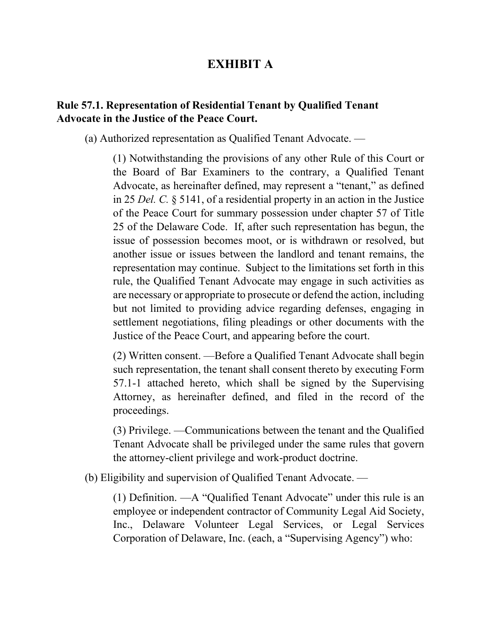# **EXHIBIT A**

## **Rule 57.1. Representation of Residential Tenant by Qualified Tenant Advocate in the Justice of the Peace Court.**

(a) Authorized representation as Qualified Tenant Advocate. —

(1) Notwithstanding the provisions of any other Rule of this Court or the Board of Bar Examiners to the contrary, a Qualified Tenant Advocate, as hereinafter defined, may represent a "tenant," as defined in 25 *Del. C.* § 5141, of a residential property in an action in the Justice of the Peace Court for summary possession under chapter 57 of Title 25 of the Delaware Code. If, after such representation has begun, the issue of possession becomes moot, or is withdrawn or resolved, but another issue or issues between the landlord and tenant remains, the representation may continue. Subject to the limitations set forth in this rule, the Qualified Tenant Advocate may engage in such activities as are necessary or appropriate to prosecute or defend the action, including but not limited to providing advice regarding defenses, engaging in settlement negotiations, filing pleadings or other documents with the Justice of the Peace Court, and appearing before the court.

(2) Written consent. —Before a Qualified Tenant Advocate shall begin such representation, the tenant shall consent thereto by executing Form 57.1-1 attached hereto, which shall be signed by the Supervising Attorney, as hereinafter defined, and filed in the record of the proceedings.

(3) Privilege. —Communications between the tenant and the Qualified Tenant Advocate shall be privileged under the same rules that govern the attorney-client privilege and work-product doctrine.

(b) Eligibility and supervision of Qualified Tenant Advocate. —

(1) Definition. —A "Qualified Tenant Advocate" under this rule is an employee or independent contractor of Community Legal Aid Society, Inc., Delaware Volunteer Legal Services, or Legal Services Corporation of Delaware, Inc. (each, a "Supervising Agency") who: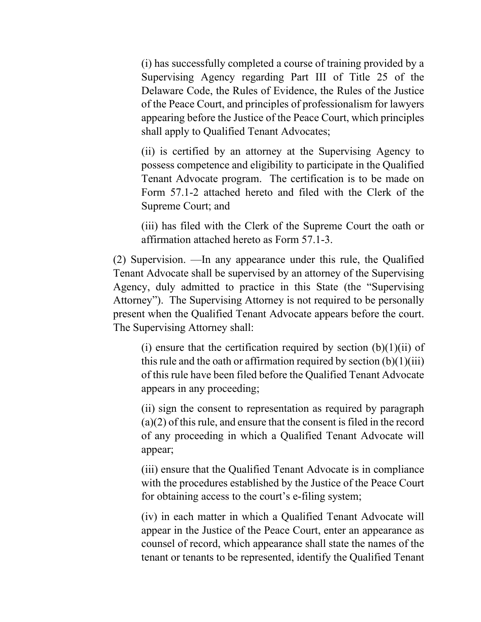(i) has successfully completed a course of training provided by a Supervising Agency regarding Part III of Title 25 of the Delaware Code, the Rules of Evidence, the Rules of the Justice of the Peace Court, and principles of professionalism for lawyers appearing before the Justice of the Peace Court, which principles shall apply to Qualified Tenant Advocates;

(ii) is certified by an attorney at the Supervising Agency to possess competence and eligibility to participate in the Qualified Tenant Advocate program. The certification is to be made on Form 57.1-2 attached hereto and filed with the Clerk of the Supreme Court; and

(iii) has filed with the Clerk of the Supreme Court the oath or affirmation attached hereto as Form 57.1-3.

(2) Supervision. —In any appearance under this rule, the Qualified Tenant Advocate shall be supervised by an attorney of the Supervising Agency, duly admitted to practice in this State (the "Supervising Attorney"). The Supervising Attorney is not required to be personally present when the Qualified Tenant Advocate appears before the court. The Supervising Attorney shall:

(i) ensure that the certification required by section  $(b)(1)(ii)$  of this rule and the oath or affirmation required by section  $(b)(1)(iii)$ of this rule have been filed before the Qualified Tenant Advocate appears in any proceeding;

(ii) sign the consent to representation as required by paragraph (a)(2) of this rule, and ensure that the consent is filed in the record of any proceeding in which a Qualified Tenant Advocate will appear;

(iii) ensure that the Qualified Tenant Advocate is in compliance with the procedures established by the Justice of the Peace Court for obtaining access to the court's e-filing system;

(iv) in each matter in which a Qualified Tenant Advocate will appear in the Justice of the Peace Court, enter an appearance as counsel of record, which appearance shall state the names of the tenant or tenants to be represented, identify the Qualified Tenant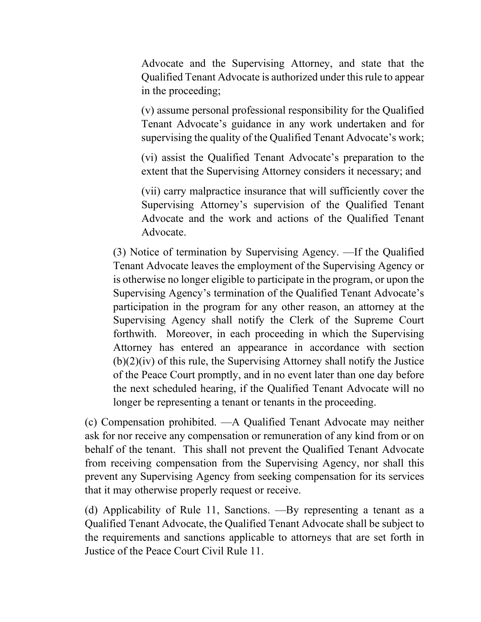Advocate and the Supervising Attorney, and state that the Qualified Tenant Advocate is authorized under this rule to appear in the proceeding;

(v) assume personal professional responsibility for the Qualified Tenant Advocate's guidance in any work undertaken and for supervising the quality of the Qualified Tenant Advocate's work;

(vi) assist the Qualified Tenant Advocate's preparation to the extent that the Supervising Attorney considers it necessary; and

(vii) carry malpractice insurance that will sufficiently cover the Supervising Attorney's supervision of the Qualified Tenant Advocate and the work and actions of the Qualified Tenant Advocate.

(3) Notice of termination by Supervising Agency. —If the Qualified Tenant Advocate leaves the employment of the Supervising Agency or is otherwise no longer eligible to participate in the program, or upon the Supervising Agency's termination of the Qualified Tenant Advocate's participation in the program for any other reason, an attorney at the Supervising Agency shall notify the Clerk of the Supreme Court forthwith. Moreover, in each proceeding in which the Supervising Attorney has entered an appearance in accordance with section  $(b)(2)(iv)$  of this rule, the Supervising Attorney shall notify the Justice of the Peace Court promptly, and in no event later than one day before the next scheduled hearing, if the Qualified Tenant Advocate will no longer be representing a tenant or tenants in the proceeding.

(c) Compensation prohibited. —A Qualified Tenant Advocate may neither ask for nor receive any compensation or remuneration of any kind from or on behalf of the tenant. This shall not prevent the Qualified Tenant Advocate from receiving compensation from the Supervising Agency, nor shall this prevent any Supervising Agency from seeking compensation for its services that it may otherwise properly request or receive.

(d) Applicability of Rule 11, Sanctions. —By representing a tenant as a Qualified Tenant Advocate, the Qualified Tenant Advocate shall be subject to the requirements and sanctions applicable to attorneys that are set forth in Justice of the Peace Court Civil Rule 11.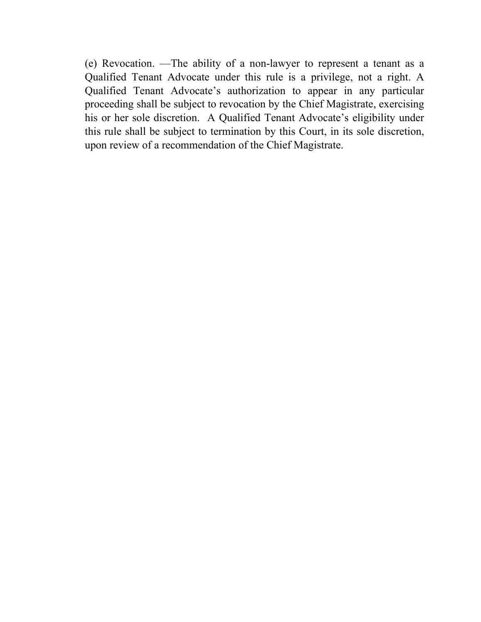(e) Revocation. —The ability of a non-lawyer to represent a tenant as a Qualified Tenant Advocate under this rule is a privilege, not a right. A Qualified Tenant Advocate's authorization to appear in any particular proceeding shall be subject to revocation by the Chief Magistrate, exercising his or her sole discretion. A Qualified Tenant Advocate's eligibility under this rule shall be subject to termination by this Court, in its sole discretion, upon review of a recommendation of the Chief Magistrate.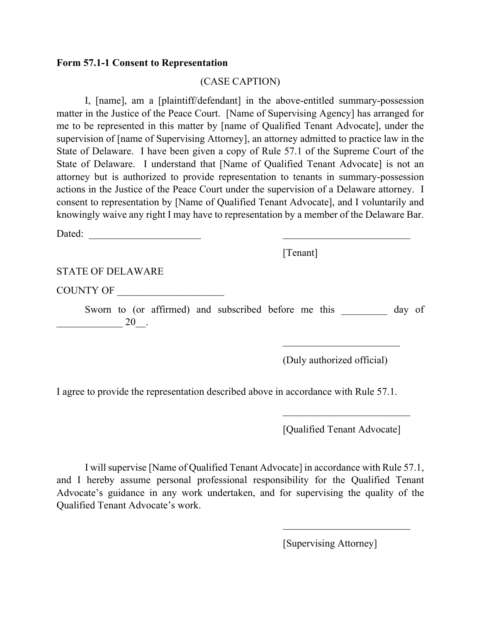#### **Form 57.1-1 Consent to Representation**

#### (CASE CAPTION)

I, [name], am a [plaintiff/defendant] in the above-entitled summary-possession matter in the Justice of the Peace Court. [Name of Supervising Agency] has arranged for me to be represented in this matter by [name of Qualified Tenant Advocate], under the supervision of [name of Supervising Attorney], an attorney admitted to practice law in the State of Delaware. I have been given a copy of Rule 57.1 of the Supreme Court of the State of Delaware. I understand that [Name of Qualified Tenant Advocate] is not an attorney but is authorized to provide representation to tenants in summary-possession actions in the Justice of the Peace Court under the supervision of a Delaware attorney. I consent to representation by [Name of Qualified Tenant Advocate], and I voluntarily and knowingly waive any right I may have to representation by a member of the Delaware Bar.

| 20. |                                              |  | of<br>day                                                        |                            |
|-----|----------------------------------------------|--|------------------------------------------------------------------|----------------------------|
|     |                                              |  |                                                                  |                            |
|     | <b>STATE OF DELAWARE</b><br><b>COUNTY OF</b> |  | [Tenant]<br>Sworn to (or affirmed) and subscribed before me this | (Duly authorized official) |

I agree to provide the representation described above in accordance with Rule 57.1.

[Qualified Tenant Advocate]

 $\frac{1}{2}$  ,  $\frac{1}{2}$  ,  $\frac{1}{2}$  ,  $\frac{1}{2}$  ,  $\frac{1}{2}$  ,  $\frac{1}{2}$  ,  $\frac{1}{2}$  ,  $\frac{1}{2}$  ,  $\frac{1}{2}$  ,  $\frac{1}{2}$  ,  $\frac{1}{2}$  ,  $\frac{1}{2}$  ,  $\frac{1}{2}$  ,  $\frac{1}{2}$  ,  $\frac{1}{2}$  ,  $\frac{1}{2}$  ,  $\frac{1}{2}$  ,  $\frac{1}{2}$  ,  $\frac{1$ 

I will supervise [Name of Qualified Tenant Advocate] in accordance with Rule 57.1, and I hereby assume personal professional responsibility for the Qualified Tenant Advocate's guidance in any work undertaken, and for supervising the quality of the Qualified Tenant Advocate's work.

[Supervising Attorney]

 $\mathcal{L}_\text{max}$  , where  $\mathcal{L}_\text{max}$  and  $\mathcal{L}_\text{max}$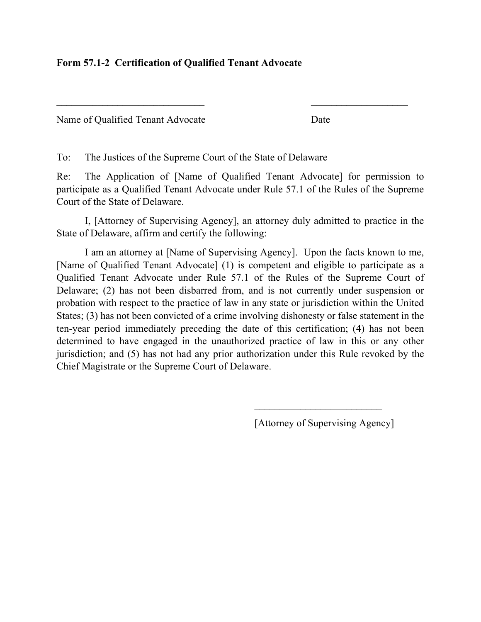### **Form 57.1-2 Certification of Qualified Tenant Advocate**

| Name of Qualified Tenant Advocate | Date |
|-----------------------------------|------|
|-----------------------------------|------|

To: The Justices of the Supreme Court of the State of Delaware

Re: The Application of [Name of Qualified Tenant Advocate] for permission to participate as a Qualified Tenant Advocate under Rule 57.1 of the Rules of the Supreme Court of the State of Delaware.

 $\mathcal{L}_\text{max}$  , and the contract of the contract of the contract of the contract of the contract of the contract of the contract of the contract of the contract of the contract of the contract of the contract of the contr

I, [Attorney of Supervising Agency], an attorney duly admitted to practice in the State of Delaware, affirm and certify the following:

I am an attorney at [Name of Supervising Agency]. Upon the facts known to me, [Name of Qualified Tenant Advocate] (1) is competent and eligible to participate as a Qualified Tenant Advocate under Rule 57.1 of the Rules of the Supreme Court of Delaware; (2) has not been disbarred from, and is not currently under suspension or probation with respect to the practice of law in any state or jurisdiction within the United States; (3) has not been convicted of a crime involving dishonesty or false statement in the ten-year period immediately preceding the date of this certification; (4) has not been determined to have engaged in the unauthorized practice of law in this or any other jurisdiction; and (5) has not had any prior authorization under this Rule revoked by the Chief Magistrate or the Supreme Court of Delaware.

[Attorney of Supervising Agency]

 $\mathcal{L}_\text{max}$  , where  $\mathcal{L}_\text{max}$  is the set of the set of the set of the set of the set of the set of the set of the set of the set of the set of the set of the set of the set of the set of the set of the set of the se